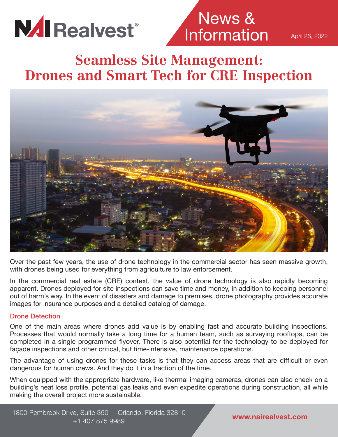

News & Information

April 26, 2022

### **Seamless Site Management: Drones and Smart Tech for CRE Inspection**



Over the past few years, the use of drone technology in the commercial sector has seen massive growth, with drones being used for everything from agriculture to law enforcement.

In the commercial real estate (CRE) context, the value of drone technology is also rapidly becoming apparent. Drones deployed for site inspections can save time and money, in addition to keeping personnel out of harm's way. In the event of disasters and damage to premises, drone photography provides accurate images for insurance purposes and a detailed catalog of damage.

#### Drone Detection

One of the main areas where drones add value is by enabling fast and accurate building inspections. Processes that would normally take a long time for a human team, such as surveying rooftops, can be completed in a single programmed flyover. There is also potential for the technology to be deployed for façade inspections and other critical, but time-intensive, maintenance operations.

The advantage of using drones for these tasks is that they can access areas that are difficult or even dangerous for human crews. And they do it in a fraction of the time.

When equipped with the appropriate hardware, like thermal imaging cameras, drones can also check on a building's heat loss profile, potential gas leaks and even expedite operations during construction, all while making the overall project more sustainable.